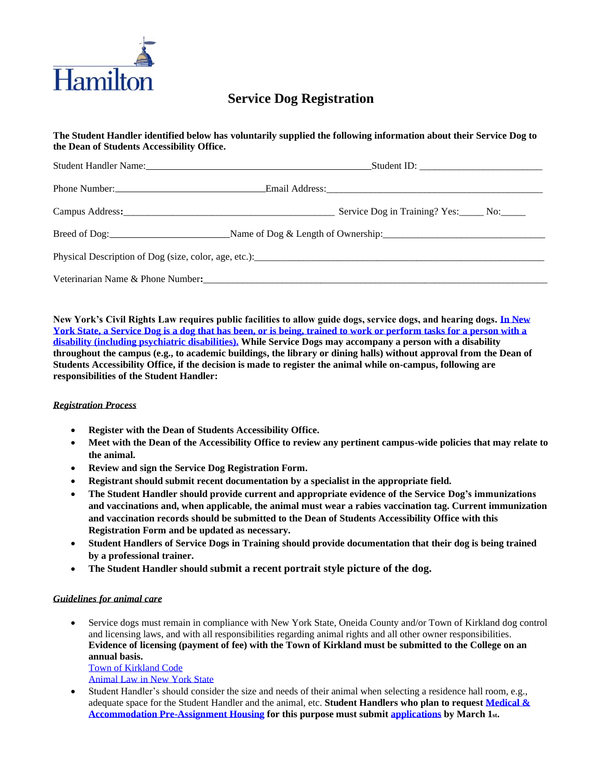

# **Service Dog Registration**

## **The Student Handler identified below has voluntarily supplied the following information about their Service Dog to the Dean of Students Accessibility Office.**

| Student Handler Name: Name and Student Student Student Student Student Student Student Student Student Student                                                                                                                 |                                                                                                               |  |
|--------------------------------------------------------------------------------------------------------------------------------------------------------------------------------------------------------------------------------|---------------------------------------------------------------------------------------------------------------|--|
| Phone Number:<br><u> </u>                                                                                                                                                                                                      | Email Address: 2008 and 2008 and 2008 and 2008 and 2008 and 2008 and 2008 and 2008 and 2008 and 2008 and 2008 |  |
| Campus Address: March 1988 and March 1988 and March 1988 and March 1988 and March 1988 and March 1988 and March 1988 and March 1988 and March 1988 and March 1988 and March 1988 and March 1988 and March 1988 and March 1988  | Service Dog in Training? Yes: No:                                                                             |  |
|                                                                                                                                                                                                                                |                                                                                                               |  |
| Physical Description of Dog (size, color, age, etc.):                                                                                                                                                                          |                                                                                                               |  |
| Veterinarian Name & Phone Number: 2008 and 2008 and 2008 and 2008 and 2008 and 2008 and 2008 and 2008 and 2008 and 2008 and 2008 and 2008 and 2008 and 2008 and 2008 and 2008 and 2008 and 2008 and 2008 and 2008 and 2008 and |                                                                                                               |  |

**New York's Civil Rights Law requires public facilities to allow guide dogs, service dogs, and hearing dogs. [In New](https://www.nolo.com/legal-encyclopedia/new-york-laws-service-dogs-emotional-support-animals.html)  York State, a [Service Dog is a dog that has been, or is being, trained to work or perform tasks for a person with a](https://www.nolo.com/legal-encyclopedia/new-york-laws-service-dogs-emotional-support-animals.html)  [disability \(including psychiatric disabilities\).](https://www.nolo.com/legal-encyclopedia/new-york-laws-service-dogs-emotional-support-animals.html) While Service Dogs may accompany a person with a disability throughout the campus (e.g., to academic buildings, the library or dining halls) without approval from the Dean of Students Accessibility Office, if the decision is made to register the animal while on-campus, following are responsibilities of the Student Handler:**

#### *Registration Process*

- **Register with the Dean of Students Accessibility Office.**
- **Meet with the Dean of the Accessibility Office to review any pertinent campus-wide policies that may relate to the animal.**
- **Review and sign the Service Dog Registration Form.**
- **Registrant should submit recent documentation by a specialist in the appropriate field.**
- **The Student Handler should provide current and appropriate evidence of the Service Dog's immunizations and vaccinations and, when applicable, the animal must wear a rabies vaccination tag. Current immunization and vaccination records should be submitted to the Dean of Students Accessibility Office with this Registration Form and be updated as necessary.**
- **Student Handlers of Service Dogs in Training should provide documentation that their dog is being trained by a professional trainer.**
- **The Student Handler should submit a recent portrait style picture of the dog.**

#### *Guidelines for animal care*

• Service dogs must remain in compliance with New York State, Oneida County and/or Town of Kirkland dog control and licensing laws, and with all responsibilities regarding animal rights and all other owner responsibilities. **Evidence of licensing (payment of fee) with the Town of Kirkland must be submitted to the College on an annual basis.** 

[Town of Kirkland Code](https://townkirkland.digitaltowpath.org:10014/content/Laws/View/43) [Animal Law in New York State](http://users.hancock.net/lennyesq/Animallaw.pdf)

• Student Handler's should consider the size and needs of their animal when selecting a residence hall room, e.g., adequate space for the Student Handler and the animal, etc. **Student Handlers who plan to request [Medical &](https://www.hamilton.edu/offices/residentiallife/housing-selection/medical-pre-assign)  [Accommodation Pre-Assignment Housing](https://www.hamilton.edu/offices/residentiallife/housing-selection/medical-pre-assign) for this purpose must submi[t applications](https://www.hamilton.edu/documents/Medical_Preassign_Registration_Form.pdf) by March 1st.**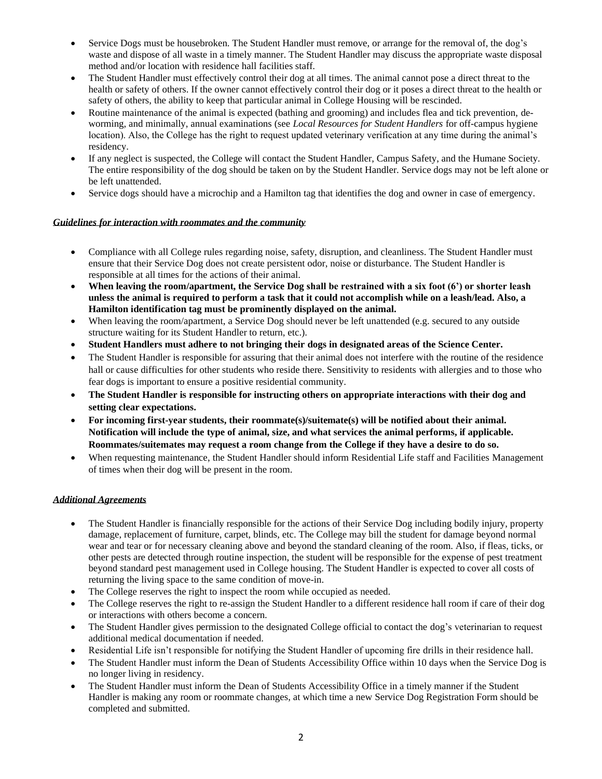- Service Dogs must be housebroken. The Student Handler must remove, or arrange for the removal of, the dog's waste and dispose of all waste in a timely manner. The Student Handler may discuss the appropriate waste disposal method and/or location with residence hall facilities staff.
- The Student Handler must effectively control their dog at all times. The animal cannot pose a direct threat to the health or safety of others. If the owner cannot effectively control their dog or it poses a direct threat to the health or safety of others, the ability to keep that particular animal in College Housing will be rescinded.
- Routine maintenance of the animal is expected (bathing and grooming) and includes flea and tick prevention, deworming, and minimally, annual examinations (see *Local Resources for Student Handlers* for off-campus hygiene location). Also, the College has the right to request updated veterinary verification at any time during the animal's residency.
- If any neglect is suspected, the College will contact the Student Handler, Campus Safety, and the Humane Society. The entire responsibility of the dog should be taken on by the Student Handler. Service dogs may not be left alone or be left unattended.
- Service dogs should have a microchip and a Hamilton tag that identifies the dog and owner in case of emergency.

#### *Guidelines for interaction with roommates and the community*

- Compliance with all College rules regarding noise, safety, disruption, and cleanliness. The Student Handler must ensure that their Service Dog does not create persistent odor, noise or disturbance. The Student Handler is responsible at all times for the actions of their animal.
- **When leaving the room/apartment, the Service Dog shall be restrained with a six foot (6') or shorter leash unless the animal is required to perform a task that it could not accomplish while on a leash/lead. Also, a Hamilton identification tag must be prominently displayed on the animal.**
- When leaving the room/apartment, a Service Dog should never be left unattended (e.g. secured to any outside structure waiting for its Student Handler to return, etc.).
- **Student Handlers must adhere to not bringing their dogs in designated areas of the Science Center.**
- The Student Handler is responsible for assuring that their animal does not interfere with the routine of the residence hall or cause difficulties for other students who reside there. Sensitivity to residents with allergies and to those who fear dogs is important to ensure a positive residential community.
- **The Student Handler is responsible for instructing others on appropriate interactions with their dog and setting clear expectations.**
- **For incoming first-year students, their roommate(s)/suitemate(s) will be notified about their animal. Notification will include the type of animal, size, and what services the animal performs, if applicable. Roommates/suitemates may request a room change from the College if they have a desire to do so.**
- When requesting maintenance, the Student Handler should inform Residential Life staff and Facilities Management of times when their dog will be present in the room.

#### *Additional Agreements*

- The Student Handler is financially responsible for the actions of their Service Dog including bodily injury, property damage, replacement of furniture, carpet, blinds, etc. The College may bill the student for damage beyond normal wear and tear or for necessary cleaning above and beyond the standard cleaning of the room. Also, if fleas, ticks, or other pests are detected through routine inspection, the student will be responsible for the expense of pest treatment beyond standard pest management used in College housing. The Student Handler is expected to cover all costs of returning the living space to the same condition of move-in.
- The College reserves the right to inspect the room while occupied as needed.
- The College reserves the right to re-assign the Student Handler to a different residence hall room if care of their dog or interactions with others become a concern.
- The Student Handler gives permission to the designated College official to contact the dog's veterinarian to request additional medical documentation if needed.
- Residential Life isn't responsible for notifying the Student Handler of upcoming fire drills in their residence hall.
- The Student Handler must inform the Dean of Students Accessibility Office within 10 days when the Service Dog is no longer living in residency.
- The Student Handler must inform the Dean of Students Accessibility Office in a timely manner if the Student Handler is making any room or roommate changes, at which time a new Service Dog Registration Form should be completed and submitted.